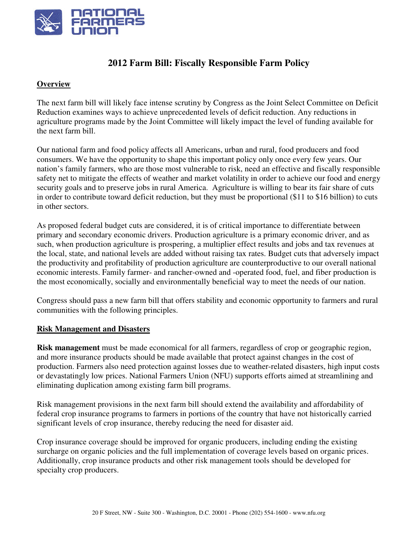

# **2012 Farm Bill: Fiscally Responsible Farm Policy**

### **Overview**

The next farm bill will likely face intense scrutiny by Congress as the Joint Select Committee on Deficit Reduction examines ways to achieve unprecedented levels of deficit reduction. Any reductions in agriculture programs made by the Joint Committee will likely impact the level of funding available for the next farm bill.

Our national farm and food policy affects all Americans, urban and rural, food producers and food consumers. We have the opportunity to shape this important policy only once every few years. Our nation's family farmers, who are those most vulnerable to risk, need an effective and fiscally responsible safety net to mitigate the effects of weather and market volatility in order to achieve our food and energy security goals and to preserve jobs in rural America. Agriculture is willing to bear its fair share of cuts in order to contribute toward deficit reduction, but they must be proportional (\$11 to \$16 billion) to cuts in other sectors.

As proposed federal budget cuts are considered, it is of critical importance to differentiate between primary and secondary economic drivers. Production agriculture is a primary economic driver, and as such, when production agriculture is prospering, a multiplier effect results and jobs and tax revenues at the local, state, and national levels are added without raising tax rates. Budget cuts that adversely impact the productivity and profitability of production agriculture are counterproductive to our overall national economic interests. Family farmer- and rancher-owned and -operated food, fuel, and fiber production is the most economically, socially and environmentally beneficial way to meet the needs of our nation.

Congress should pass a new farm bill that offers stability and economic opportunity to farmers and rural communities with the following principles.

#### **Risk Management and Disasters**

**Risk management** must be made economical for all farmers, regardless of crop or geographic region, and more insurance products should be made available that protect against changes in the cost of production. Farmers also need protection against losses due to weather-related disasters, high input costs or devastatingly low prices. National Farmers Union (NFU) supports efforts aimed at streamlining and eliminating duplication among existing farm bill programs.

Risk management provisions in the next farm bill should extend the availability and affordability of federal crop insurance programs to farmers in portions of the country that have not historically carried significant levels of crop insurance, thereby reducing the need for disaster aid.

Crop insurance coverage should be improved for organic producers, including ending the existing surcharge on organic policies and the full implementation of coverage levels based on organic prices. Additionally, crop insurance products and other risk management tools should be developed for specialty crop producers.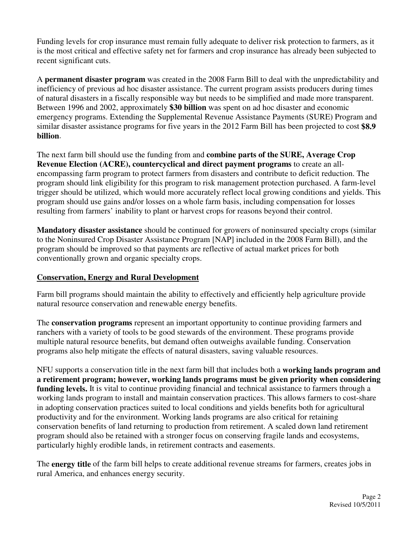Funding levels for crop insurance must remain fully adequate to deliver risk protection to farmers, as it is the most critical and effective safety net for farmers and crop insurance has already been subjected to recent significant cuts.

A **permanent disaster program** was created in the 2008 Farm Bill to deal with the unpredictability and inefficiency of previous ad hoc disaster assistance. The current program assists producers during times of natural disasters in a fiscally responsible way but needs to be simplified and made more transparent. Between 1996 and 2002, approximately **\$30 billion** was spent on ad hoc disaster and economic emergency programs. Extending the Supplemental Revenue Assistance Payments (SURE) Program and similar disaster assistance programs for five years in the 2012 Farm Bill has been projected to cost **\$8.9 billion**.

The next farm bill should use the funding from and **combine parts of the SURE, Average Crop Revenue Election (ACRE), countercyclical and direct payment programs** to create an allencompassing farm program to protect farmers from disasters and contribute to deficit reduction. The program should link eligibility for this program to risk management protection purchased. A farm-level trigger should be utilized, which would more accurately reflect local growing conditions and yields. This program should use gains and/or losses on a whole farm basis, including compensation for losses resulting from farmers' inability to plant or harvest crops for reasons beyond their control.

**Mandatory disaster assistance** should be continued for growers of noninsured specialty crops (similar to the Noninsured Crop Disaster Assistance Program [NAP] included in the 2008 Farm Bill), and the program should be improved so that payments are reflective of actual market prices for both conventionally grown and organic specialty crops.

### **Conservation, Energy and Rural Development**

Farm bill programs should maintain the ability to effectively and efficiently help agriculture provide natural resource conservation and renewable energy benefits.

The **conservation programs** represent an important opportunity to continue providing farmers and ranchers with a variety of tools to be good stewards of the environment. These programs provide multiple natural resource benefits, but demand often outweighs available funding. Conservation programs also help mitigate the effects of natural disasters, saving valuable resources.

NFU supports a conservation title in the next farm bill that includes both a **working lands program and a retirement program; however, working lands programs must be given priority when considering funding levels.** It is vital to continue providing financial and technical assistance to farmers through a working lands program to install and maintain conservation practices. This allows farmers to cost-share in adopting conservation practices suited to local conditions and yields benefits both for agricultural productivity and for the environment. Working lands programs are also critical for retaining conservation benefits of land returning to production from retirement. A scaled down land retirement program should also be retained with a stronger focus on conserving fragile lands and ecosystems, particularly highly erodible lands, in retirement contracts and easements.

The **energy title** of the farm bill helps to create additional revenue streams for farmers, creates jobs in rural America, and enhances energy security.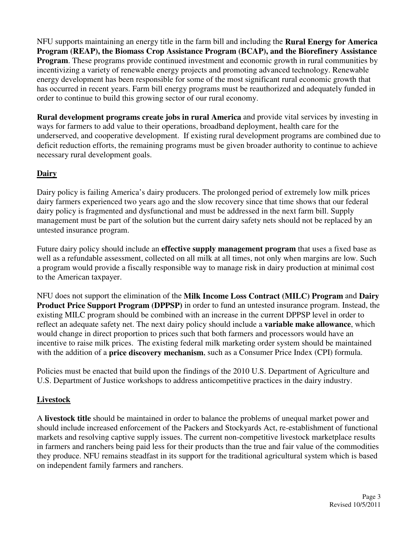NFU supports maintaining an energy title in the farm bill and including the **Rural Energy for America Program (REAP), the Biomass Crop Assistance Program (BCAP), and the Biorefinery Assistance Program.** These programs provide continued investment and economic growth in rural communities by incentivizing a variety of renewable energy projects and promoting advanced technology. Renewable energy development has been responsible for some of the most significant rural economic growth that has occurred in recent years. Farm bill energy programs must be reauthorized and adequately funded in order to continue to build this growing sector of our rural economy.

**Rural development programs create jobs in rural America** and provide vital services by investing in ways for farmers to add value to their operations, broadband deployment, health care for the underserved, and cooperative development. If existing rural development programs are combined due to deficit reduction efforts, the remaining programs must be given broader authority to continue to achieve necessary rural development goals.

## **Dairy**

Dairy policy is failing America's dairy producers. The prolonged period of extremely low milk prices dairy farmers experienced two years ago and the slow recovery since that time shows that our federal dairy policy is fragmented and dysfunctional and must be addressed in the next farm bill. Supply management must be part of the solution but the current dairy safety nets should not be replaced by an untested insurance program.

Future dairy policy should include an **effective supply management program** that uses a fixed base as well as a refundable assessment, collected on all milk at all times, not only when margins are low. Such a program would provide a fiscally responsible way to manage risk in dairy production at minimal cost to the American taxpayer.

NFU does not support the elimination of the **Milk Income Loss Contract (MILC) Program** and **Dairy Product Price Support Program (DPPSP)** in order to fund an untested insurance program. Instead, the existing MILC program should be combined with an increase in the current DPPSP level in order to reflect an adequate safety net. The next dairy policy should include a **variable make allowance**, which would change in direct proportion to prices such that both farmers and processors would have an incentive to raise milk prices. The existing federal milk marketing order system should be maintained with the addition of a **price discovery mechanism**, such as a Consumer Price Index (CPI) formula.

Policies must be enacted that build upon the findings of the 2010 U.S. Department of Agriculture and U.S. Department of Justice workshops to address anticompetitive practices in the dairy industry.

### **Livestock**

A **livestock title** should be maintained in order to balance the problems of unequal market power and should include increased enforcement of the Packers and Stockyards Act, re-establishment of functional markets and resolving captive supply issues. The current non-competitive livestock marketplace results in farmers and ranchers being paid less for their products than the true and fair value of the commodities they produce. NFU remains steadfast in its support for the traditional agricultural system which is based on independent family farmers and ranchers.